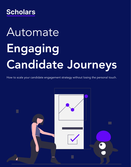

# Automate Engaging Candidate Journeys

How to scale your candidate engagement strategy without losing the personal touch.

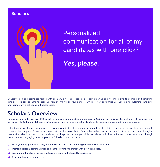### **Scholars**



# Personalized communication for all of my candidates with one click?

Yes, please.

University recruiting teams are tasked with so many different responsibilities from planning and hosting events to sourcing and screening candidates. It can be hard to keep up with everything on your plate — which is why companies use Scholars to automate candidate engagement while still keeping it personalized.

## Scholars Overview

Companies are set to lose over \$4B collectively on candidate ghosting and reneges in 2022 due to The Great Resignation. That's why teams at companies like GoPuff, DICK'S Sporting Goods, and PwC have turned to Scholars to build personalized candidate journeys at scale.

Other than salary, the top two reasons early-career candidates ghost a company are a lack of both information and personal connections with others at the company. So we've built one platform that solves both. Companies deliver relevant information to every candidate through a personalized dashboard and collect analytics that help predict reneges, while candidates build friendships with future teammates through shared interests, engaging question prompts, 1:1 video chats, and more.

- Scale your engagement strategy without scaling your team or adding more to recruiters' plates.  $\mathcal{C}_{I}$
- Maintain personal communication and share relevant information with every candidate.  $\infty$
- Spend more time building your strategy and sourcing high-quality applicants.  $\infty$
- $\varnothing$ Eliminate human error and typos.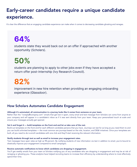## Early-career candidates require a unique candidate experience.

It's clear the difference that an engaging candidate experience can make when it comes to decreasing candidate ghosting and reneges.

# 64%

students state they would back out on an offer if approached with another opportunity (Scholars).

# 50%

students are planning to apply to other jobs even if they have accepted a return offer post-internship (Ivy Research Council).

# 82%

improvement in new hire retention when providing an engaging onboarding experience (Glassdoor).

## How Scholars Automates Candidate Engagement

#### Although it's automated, all communication in a journey looks like it comes from someone on your team.

Rather than the "noreply@company.com" emails that get lost in spam, every email and text message from Scholars can come from anyone at your company and will appear in a candidate's inbox as if it was sent directly from your team. Keep your personalized touch at scale and ensure your messages actually get opened.

#### Set it and forget it — build templates on the front end and let us take care of the rest.

Build out templates on the front end for each different candidate persona that you have. Journeys can last for as long as you need them to and you can build unlimited templates — the most common are journeys based on the role, location, and DE&I initiatives. Once your templates are built, all you need to do is enroll candidates with one click and they'll start receiving the relevant information.

#### Notify students through text as well as email to increase your engagement rates.

Text messages have open rates as high as 98 percent. By notifying students of new information via text in addition to email, you're bound to drastically improve your engagement compared to email campaigns.

#### Receive automatic notifications to know which candidates are dropping in engagement.

You'll get weekly emails from your team at Scholars notifying you of any candidates who are dropping in engagement and may be at risk of reneging or ghosting you. These analytics have helped recruiting teams to increase their efficiency by understanding where to most effectively spend their time.